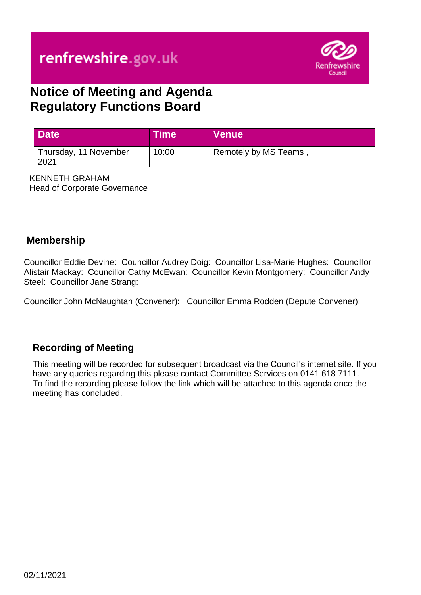# renfrewshire.gov.uk



## **Notice of Meeting and Agenda Regulatory Functions Board**

| <b>Date</b>                   | <b>Time</b> | Venue                |
|-------------------------------|-------------|----------------------|
| Thursday, 11 November<br>2021 | 10:00       | Remotely by MS Teams |

KENNETH GRAHAM Head of Corporate Governance

#### **Membership**

Councillor Eddie Devine: Councillor Audrey Doig: Councillor Lisa-Marie Hughes: Councillor Alistair Mackay: Councillor Cathy McEwan: Councillor Kevin Montgomery: Councillor Andy Steel: Councillor Jane Strang:

Councillor John McNaughtan (Convener): Councillor Emma Rodden (Depute Convener):

#### **Recording of Meeting**

This meeting will be recorded for subsequent broadcast via the Council's internet site. If you have any queries regarding this please contact Committee Services on 0141 618 7111. To find the recording please follow the link which will be attached to this agenda once the meeting has concluded.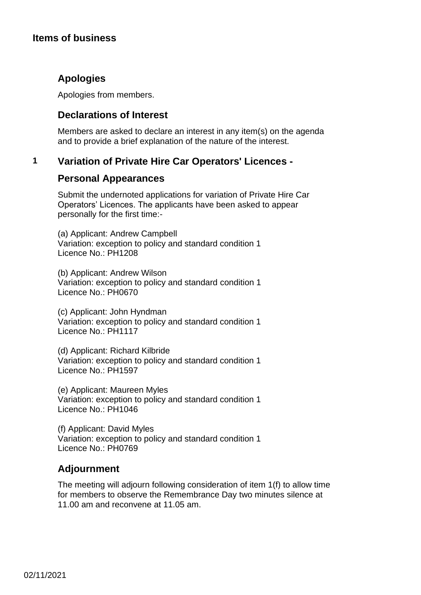#### **Items of business**

#### **Apologies**

Apologies from members.

#### **Declarations of Interest**

Members are asked to declare an interest in any item(s) on the agenda and to provide a brief explanation of the nature of the interest.

#### **1 Variation of Private Hire Car Operators' Licences -**

#### **Personal Appearances**

Submit the undernoted applications for variation of Private Hire Car Operators' Licences. The applicants have been asked to appear personally for the first time:-

(a) Applicant: Andrew Campbell Variation: exception to policy and standard condition 1 Licence No.: PH1208

(b) Applicant: Andrew Wilson Variation: exception to policy and standard condition 1 Licence No.: PH0670

(c) Applicant: John Hyndman Variation: exception to policy and standard condition 1 Licence No.: PH1117

(d) Applicant: Richard Kilbride Variation: exception to policy and standard condition 1 Licence No.: PH1597

(e) Applicant: Maureen Myles Variation: exception to policy and standard condition 1 Licence No.: PH1046

(f) Applicant: David Myles Variation: exception to policy and standard condition 1 Licence No.: PH0769

#### **Adjournment**

The meeting will adjourn following consideration of item 1(f) to allow time for members to observe the Remembrance Day two minutes silence at 11.00 am and reconvene at 11.05 am.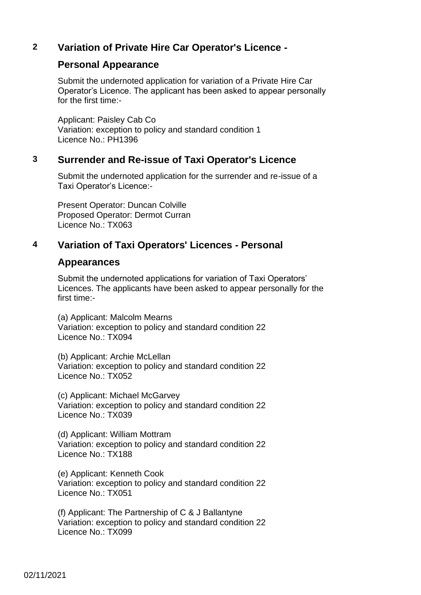#### **2 Variation of Private Hire Car Operator's Licence -**

#### **Personal Appearance**

Submit the undernoted application for variation of a Private Hire Car Operator's Licence. The applicant has been asked to appear personally for the first time:-

Applicant: Paisley Cab Co Variation: exception to policy and standard condition 1 Licence No.: PH1396

#### **3 Surrender and Re-issue of Taxi Operator's Licence**

Submit the undernoted application for the surrender and re-issue of a Taxi Operator's Licence:-

Present Operator: Duncan Colville Proposed Operator: Dermot Curran Licence No.: TX063

### **4 Variation of Taxi Operators' Licences - Personal**

#### **Appearances**

Submit the undernoted applications for variation of Taxi Operators' Licences. The applicants have been asked to appear personally for the first time:-

(a) Applicant: Malcolm Mearns Variation: exception to policy and standard condition 22 Licence No.: TX094

(b) Applicant: Archie McLellan Variation: exception to policy and standard condition 22 Licence No.: TX052

(c) Applicant: Michael McGarvey Variation: exception to policy and standard condition 22 Licence No.: TX039

(d) Applicant: William Mottram Variation: exception to policy and standard condition 22 Licence No.: TX188

(e) Applicant: Kenneth Cook Variation: exception to policy and standard condition 22 Licence No.: TX051

(f) Applicant: The Partnership of C & J Ballantyne Variation: exception to policy and standard condition 22 Licence No.: TX099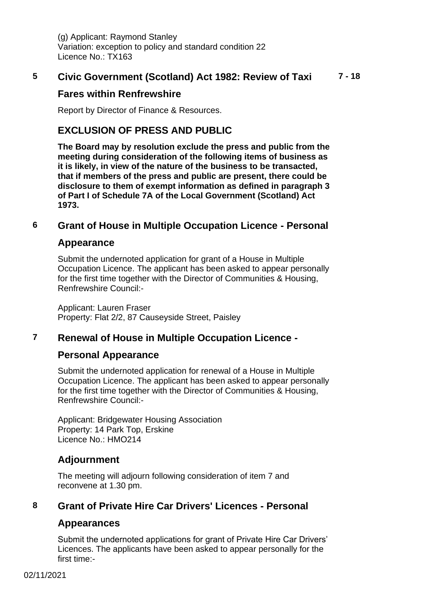(g) Applicant: Raymond Stanley Variation: exception to policy and standard condition 22 Licence No.: TX163

#### **5 Civic Government (Scotland) Act 1982: Review of Taxi 7 - 18**

#### **Fares within Renfrewshire**

Report by Director of Finance & Resources.

#### **EXCLUSION OF PRESS AND PUBLIC**

**The Board may by resolution exclude the press and public from the meeting during consideration of the following items of business as it is likely, in view of the nature of the business to be transacted, that if members of the press and public are present, there could be disclosure to them of exempt information as defined in paragraph 3 of Part I of Schedule 7A of the Local Government (Scotland) Act 1973.**

#### **6 Grant of House in Multiple Occupation Licence - Personal**

#### **Appearance**

Submit the undernoted application for grant of a House in Multiple Occupation Licence. The applicant has been asked to appear personally for the first time together with the Director of Communities & Housing, Renfrewshire Council:-

Applicant: Lauren Fraser Property: Flat 2/2, 87 Causeyside Street, Paisley

#### **7 Renewal of House in Multiple Occupation Licence -**

#### **Personal Appearance**

Submit the undernoted application for renewal of a House in Multiple Occupation Licence. The applicant has been asked to appear personally for the first time together with the Director of Communities & Housing, Renfrewshire Council:-

Applicant: Bridgewater Housing Association Property: 14 Park Top, Erskine Licence No.: HMO214

#### **Adjournment**

The meeting will adjourn following consideration of item 7 and reconvene at 1.30 pm.

#### **8 Grant of Private Hire Car Drivers' Licences - Personal**

#### **Appearances**

Submit the undernoted applications for grant of Private Hire Car Drivers' Licences. The applicants have been asked to appear personally for the first time:-